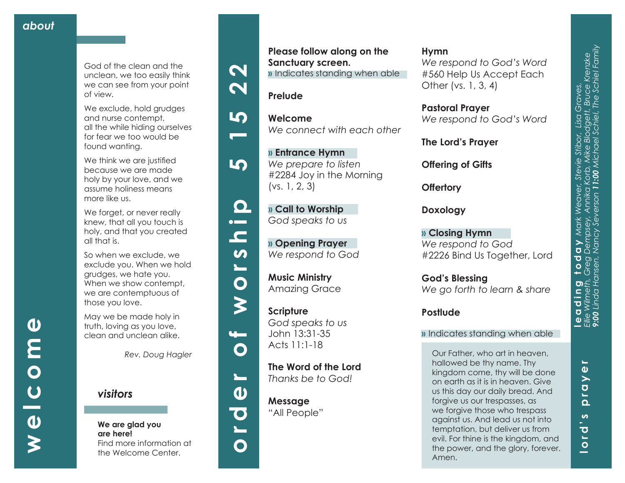God of the clean and the unclean, we too easily think we can see from your point of view.

We exclude, hold grudges and nurse contempt, all the while hiding ourselves for fear we too would be found wanting.

We think we are justified because we are made holy by your love, and we assume holiness means more like us.

We forget, or never really knew, that all you touch is holy, and that you created all that is.

So when we exclude, we exclude you. When we hold grudges, we hate you. When we show contempt, we are contemptuous of those you love.

May we be made holy in truth, loving as you love, clean and unclean alike.

*Rev. Doug Hagler*

*visitors*

#### **We are glad you are here!** Find more information at the Welcome Center.

 $\boldsymbol{\mathsf{N}}$ 







 $\blacksquare$ 

 $\boldsymbol{\omega}$ 

 $\overline{\phantom{0}}$ 

 $\bullet$ 

 $\boldsymbol{\zeta}$ 

<u>u – </u>

 $\mathbf O$ 

 $\mathbf{r}$ 

 $\boldsymbol{\omega}$ 

 $\overline{\textbf{C}}$ 

O

50

**» Call to Worship**  *God speaks to us*

**» Entrance Hymn**  *We prepare to listen*

**Please follow along on the** 

**»** Indicates standing when able

*We connect with each other*

#2284 Joy in the Morning

**Sanctuary screen.**

**Prelude**

**Welcome**

(vs. 1, 2, 3)

**» Opening Prayer**  *We respond to God*

**Music Ministry**  Amazing Grace

**Scripture** *God speaks to us* John 13:31-35 Acts 11:1-18

**The Word of the Lord**  *Thanks be to God!*

**Message** "All People"

## **Hymn**

*We respond to God's Word*  #560 Help Us Accept Each Other (vs. 1, 3, 4)

**Pastoral Prayer** *We respond to God's Word*

**The Lord's Prayer**

**Offering of Gifts** 

**Offertory**

**Doxology**

**» Closing Hymn** *We respond to God* #2226 Bind Us Together, Lord

**God's Blessing** *We go forth to learn & share*

## **Postlude**

## **»** Indicates standing when able

Our Father, who art in heaven, hallowed be thy name. Thy kingdom come, thy will be done on earth as it is in heaven. Give us this day our daily bread. And forgive us our trespasses, as we forgive those who trespass against us. And lead us not into temptation, but deliver us from evil. For thine is the kingdom, and the power, and the glory, forever. Amen.

**welcome**

 $\overline{U}$ 

 $\boldsymbol{\omega}$ 

 $\overline{\mathbf{O}}$ 

 $\boldsymbol{\omega}$ 

E